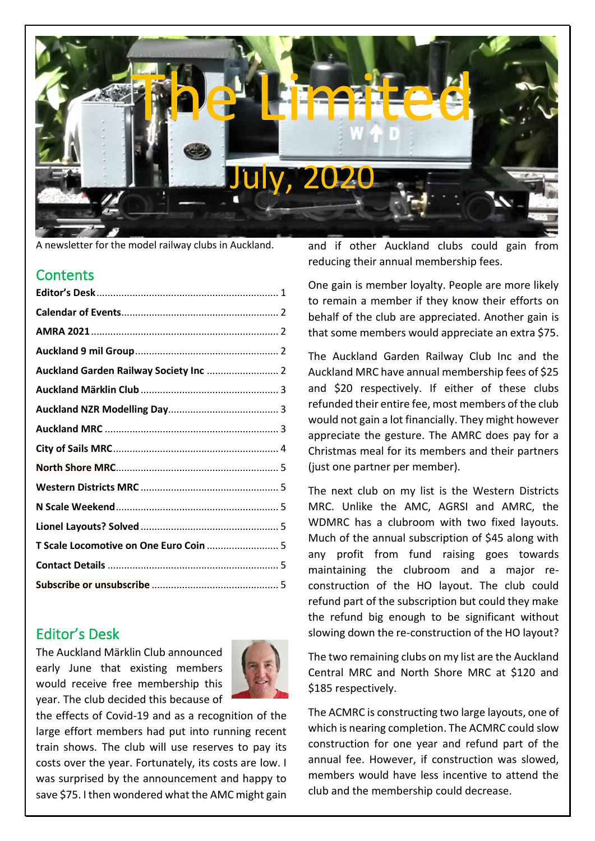

A newsletter for the model railway clubs in Auckland.

#### **Contents**

| T Scale Locomotive on One Euro Coin  5 |  |
|----------------------------------------|--|
|                                        |  |
|                                        |  |
|                                        |  |

## <span id="page-0-0"></span>Editor's Desk

The Auckland Märklin Club announced early June that existing members would receive free membership this year. The club decided this because of



the effects of Covid-19 and as a recognition of the large effort members had put into running recent train shows. The club will use reserves to pay its costs over the year. Fortunately, its costs are low. I was surprised by the announcement and happy to save \$75. I then wondered what the AMC might gain and if other Auckland clubs could gain from reducing their annual membership fees.

One gain is member loyalty. People are more likely to remain a member if they know their efforts on behalf of the club are appreciated. Another gain is that some members would appreciate an extra \$75.

The Auckland Garden Railway Club Inc and the Auckland MRC have annual membership fees of \$25 and \$20 respectively. If either of these clubs refunded their entire fee, most members of the club would not gain a lot financially. They might however appreciate the gesture. The AMRC does pay for a Christmas meal for its members and their partners (just one partner per member).

The next club on my list is the Western Districts MRC. Unlike the AMC, AGRSI and AMRC, the WDMRC has a clubroom with two fixed layouts. Much of the annual subscription of \$45 along with any profit from fund raising goes towards maintaining the clubroom and a major reconstruction of the HO layout. The club could refund part of the subscription but could they make the refund big enough to be significant without slowing down the re-construction of the HO layout?

The two remaining clubs on my list are the Auckland Central MRC and North Shore MRC at \$120 and \$185 respectively.

The ACMRC is constructing two large layouts, one of which is nearing completion. The ACMRC could slow construction for one year and refund part of the annual fee. However, if construction was slowed, members would have less incentive to attend the club and the membership could decrease.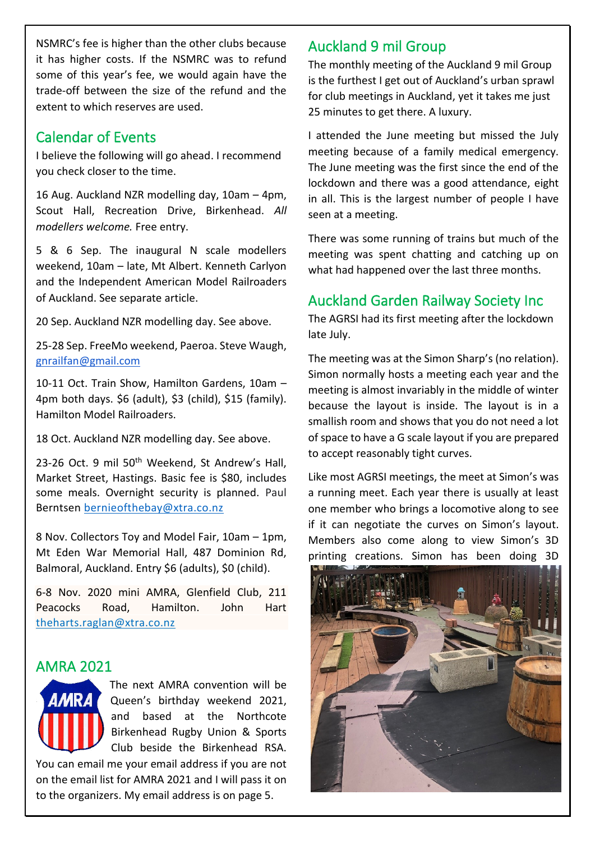NSMRC's fee is higher than the other clubs because it has higher costs. If the NSMRC was to refund some of this year's fee, we would again have the trade-off between the size of the refund and the extent to which reserves are used.

#### <span id="page-1-0"></span>Calendar of Events

I believe the following will go ahead. I recommend you check closer to the time.

16 Aug. Auckland NZR modelling day, 10am – 4pm, Scout Hall, Recreation Drive, Birkenhead. *All modellers welcome.* Free entry.

5 & 6 Sep. The inaugural N scale modellers weekend, 10am – late, Mt Albert. Kenneth Carlyon and the Independent American Model Railroaders of Auckland. See separate article.

20 Sep. Auckland NZR modelling day. See above.

25-28 Sep. FreeMo weekend, Paeroa. Steve Waugh, gnrailfan@gmail.com

10-11 Oct. Train Show, Hamilton Gardens, 10am – 4pm both days. \$6 (adult), \$3 (child), \$15 (family). Hamilton Model Railroaders.

18 Oct. Auckland NZR modelling day. See above.

23-26 Oct. 9 mil 50<sup>th</sup> Weekend, St Andrew's Hall, Market Street, Hastings. Basic fee is \$80, includes some meals. Overnight security is planned. Paul Berntsen [bernieofthebay@xtra.co.nz](mailto:bernieofthebay@xtra.co.nz)

8 Nov. Collectors Toy and Model Fair, 10am – 1pm, Mt Eden War Memorial Hall, 487 Dominion Rd, Balmoral, Auckland. Entry \$6 (adults), \$0 (child).

6-8 Nov. 2020 mini AMRA, Glenfield Club, 211 Peacocks Road, Hamilton. John Hart theharts.raglan@xtra.co.nz

## <span id="page-1-1"></span>AMRA 2021



on the email list for AMRA 2021 and I will pass it on to the organizers. My email address is on page 5.

## <span id="page-1-2"></span>Auckland 9 mil Group

The monthly meeting of the Auckland 9 mil Group is the furthest I get out of Auckland's urban sprawl for club meetings in Auckland, yet it takes me just 25 minutes to get there. A luxury.

I attended the June meeting but missed the July meeting because of a family medical emergency. The June meeting was the first since the end of the lockdown and there was a good attendance, eight in all. This is the largest number of people I have seen at a meeting.

There was some running of trains but much of the meeting was spent chatting and catching up on what had happened over the last three months.

## <span id="page-1-3"></span>Auckland Garden Railway Society Inc

The AGRSI had its first meeting after the lockdown late July.

The meeting was at the Simon Sharp's (no relation). Simon normally hosts a meeting each year and the meeting is almost invariably in the middle of winter because the layout is inside. The layout is in a smallish room and shows that you do not need a lot of space to have a G scale layout if you are prepared to accept reasonably tight curves.

Like most AGRSI meetings, the meet at Simon's was a running meet. Each year there is usually at least one member who brings a locomotive along to see if it can negotiate the curves on Simon's layout. Members also come along to view Simon's 3D printing creations. Simon has been doing 3D

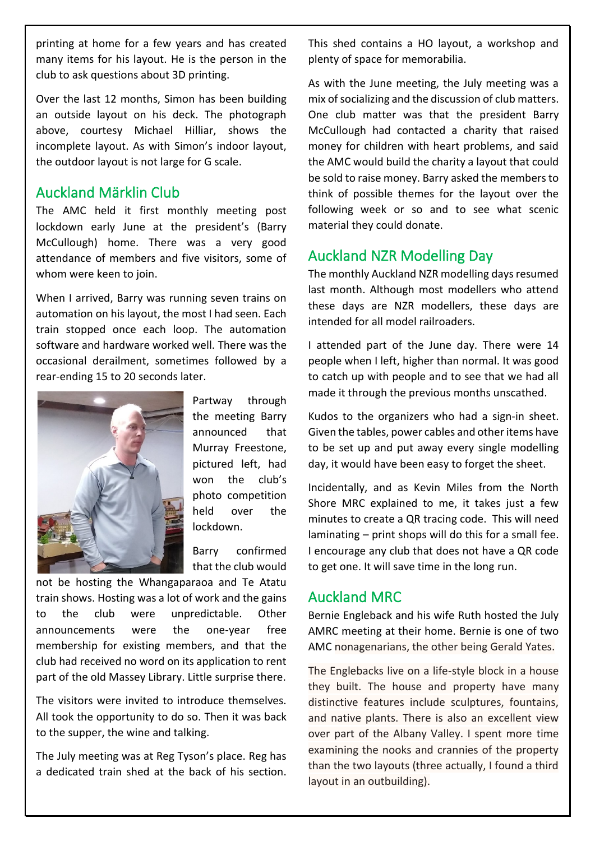printing at home for a few years and has created many items for his layout. He is the person in the club to ask questions about 3D printing.

Over the last 12 months, Simon has been building an outside layout on his deck. The photograph above, courtesy Michael Hilliar, shows the incomplete layout. As with Simon's indoor layout, the outdoor layout is not large for G scale.

## <span id="page-2-0"></span>Auckland Märklin Club

The AMC held it first monthly meeting post lockdown early June at the president's (Barry McCullough) home. There was a very good attendance of members and five visitors, some of whom were keen to join.

When I arrived, Barry was running seven trains on automation on his layout, the most I had seen. Each train stopped once each loop. The automation software and hardware worked well. There was the occasional derailment, sometimes followed by a rear-ending 15 to 20 seconds later.



Partway through the meeting Barry announced that Murray Freestone, pictured left, had won the club's photo competition held over the lockdown.

Barry confirmed that the club would

not be hosting the Whangaparaoa and Te Atatu train shows. Hosting was a lot of work and the gains to the club were unpredictable. Other announcements were the one-year free membership for existing members, and that the club had received no word on its application to rent part of the old Massey Library. Little surprise there.

The visitors were invited to introduce themselves. All took the opportunity to do so. Then it was back to the supper, the wine and talking.

The July meeting was at Reg Tyson's place. Reg has a dedicated train shed at the back of his section. This shed contains a HO layout, a workshop and plenty of space for memorabilia.

As with the June meeting, the July meeting was a mix of socializing and the discussion of club matters. One club matter was that the president Barry McCullough had contacted a charity that raised money for children with heart problems, and said the AMC would build the charity a layout that could be sold to raise money. Barry asked the members to think of possible themes for the layout over the following week or so and to see what scenic material they could donate.

## <span id="page-2-1"></span>Auckland NZR Modelling Day

The monthly Auckland NZR modelling days resumed last month. Although most modellers who attend these days are NZR modellers, these days are intended for all model railroaders.

I attended part of the June day. There were 14 people when I left, higher than normal. It was good to catch up with people and to see that we had all made it through the previous months unscathed.

Kudos to the organizers who had a sign-in sheet. Given the tables, power cables and other items have to be set up and put away every single modelling day, it would have been easy to forget the sheet.

Incidentally, and as Kevin Miles from the North Shore MRC explained to me, it takes just a few minutes to create a QR tracing code. This will need laminating – print shops will do this for a small fee. I encourage any club that does not have a QR code to get one. It will save time in the long run.

## <span id="page-2-2"></span>Auckland MRC

Bernie Engleback and his wife Ruth hosted the July AMRC meeting at their home. Bernie is one of two AMC nonagenarians, the other being Gerald Yates.

The Englebacks live on a life-style block in a house they built. The house and property have many distinctive features include sculptures, fountains, and native plants. There is also an excellent view over part of the Albany Valley. I spent more time examining the nooks and crannies of the property than the two layouts (three actually, I found a third layout in an outbuilding).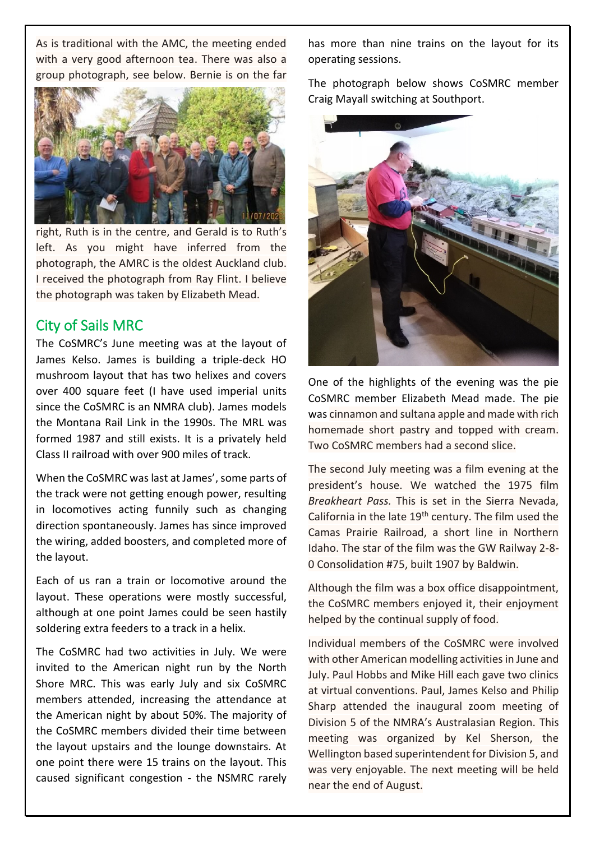As is traditional with the AMC, the meeting ended with a very good afternoon tea. There was also a group photograph, see below. Bernie is on the far



right, Ruth is in the centre, and Gerald is to Ruth's left. As you might have inferred from the photograph, the AMRC is the oldest Auckland club. I received the photograph from Ray Flint. I believe the photograph was taken by Elizabeth Mead.

#### <span id="page-3-0"></span>City of Sails MRC

The CoSMRC's June meeting was at the layout of James Kelso. James is building a triple-deck HO mushroom layout that has two helixes and covers over 400 square feet (I have used imperial units since the CoSMRC is an NMRA club). James models the Montana Rail Link in the 1990s. The MRL was formed 1987 and still exists. It is a privately held Class II railroad with over 900 miles of track.

When the CoSMRC was last at James', some parts of the track were not getting enough power, resulting in locomotives acting funnily such as changing direction spontaneously. James has since improved the wiring, added boosters, and completed more of the layout.

Each of us ran a train or locomotive around the layout. These operations were mostly successful, although at one point James could be seen hastily soldering extra feeders to a track in a helix.

The CoSMRC had two activities in July. We were invited to the American night run by the North Shore MRC. This was early July and six CoSMRC members attended, increasing the attendance at the American night by about 50%. The majority of the CoSMRC members divided their time between the layout upstairs and the lounge downstairs. At one point there were 15 trains on the layout. This caused significant congestion - the NSMRC rarely has more than nine trains on the layout for its operating sessions.

The photograph below shows CoSMRC member Craig Mayall switching at Southport.



One of the highlights of the evening was the pie CoSMRC member Elizabeth Mead made. The pie was cinnamon and sultana apple and made with rich homemade short pastry and topped with cream. Two CoSMRC members had a second slice.

The second July meeting was a film evening at the president's house. We watched the 1975 film *Breakheart Pass.* This is set in the Sierra Nevada, California in the late 19th century. The film used the Camas Prairie Railroad, a short line in Northern Idaho. The star of the film was the GW Railway 2-8- 0 Consolidation #75, built 1907 by Baldwin.

Although the film was a box office disappointment, the CoSMRC members enjoyed it, their enjoyment helped by the continual supply of food.

Individual members of the CoSMRC were involved with other American modelling activities in June and July. Paul Hobbs and Mike Hill each gave two clinics at virtual conventions. Paul, James Kelso and Philip Sharp attended the inaugural zoom meeting of Division 5 of the NMRA's Australasian Region. This meeting was organized by Kel Sherson, the Wellington based superintendent for Division 5, and was very enjoyable. The next meeting will be held near the end of August.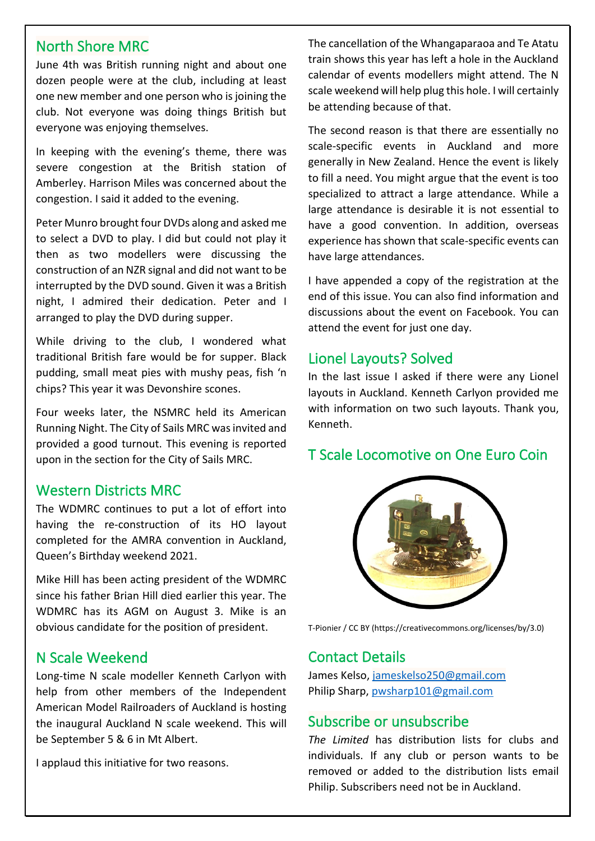#### <span id="page-4-0"></span>North Shore MRC

June 4th was British running night and about one dozen people were at the club, including at least one new member and one person who is joining the club. Not everyone was doing things British but everyone was enjoying themselves.

In keeping with the evening's theme, there was severe congestion at the British station of Amberley. Harrison Miles was concerned about the congestion. I said it added to the evening.

Peter Munro brought four DVDs along and asked me to select a DVD to play. I did but could not play it then as two modellers were discussing the construction of an NZR signal and did not want to be interrupted by the DVD sound. Given it was a British night, I admired their dedication. Peter and I arranged to play the DVD during supper.

While driving to the club, I wondered what traditional British fare would be for supper. Black pudding, small meat pies with mushy peas, fish 'n chips? This year it was Devonshire scones.

Four weeks later, the NSMRC held its American Running Night. The City of Sails MRC was invited and provided a good turnout. This evening is reported upon in the section for the City of Sails MRC.

#### <span id="page-4-1"></span>Western Districts MRC

The WDMRC continues to put a lot of effort into having the re-construction of its HO layout completed for the AMRA convention in Auckland, Queen's Birthday weekend 2021.

Mike Hill has been acting president of the WDMRC since his father Brian Hill died earlier this year. The WDMRC has its AGM on August 3. Mike is an obvious candidate for the position of president.

## <span id="page-4-2"></span>N Scale Weekend

Long-time N scale modeller Kenneth Carlyon with help from other members of the Independent American Model Railroaders of Auckland is hosting the inaugural Auckland N scale weekend. This will be September 5 & 6 in Mt Albert.

I applaud this initiative for two reasons.

The cancellation of the Whangaparaoa and Te Atatu train shows this year has left a hole in the Auckland calendar of events modellers might attend. The N scale weekend will help plug this hole. I will certainly be attending because of that.

The second reason is that there are essentially no scale-specific events in Auckland and more generally in New Zealand. Hence the event is likely to fill a need. You might argue that the event is too specialized to attract a large attendance. While a large attendance is desirable it is not essential to have a good convention. In addition, overseas experience has shown that scale-specific events can have large attendances.

I have appended a copy of the registration at the end of this issue. You can also find information and discussions about the event on Facebook. You can attend the event for just one day.

## <span id="page-4-3"></span>Lionel Layouts? Solved

In the last issue I asked if there were any Lionel layouts in Auckland. Kenneth Carlyon provided me with information on two such layouts. Thank you, Kenneth.

## <span id="page-4-4"></span>T Scale Locomotive on One Euro Coin



T-Pionier / CC BY (https://creativecommons.org/licenses/by/3.0)

## <span id="page-4-5"></span>Contact Details

James Kelso[, jameskelso250@gmail.com](mailto:jameskelso250@gmail.com) Philip Sharp, [pwsharp101@gmail.com](mailto:pwsharp101@gmail.com)

#### <span id="page-4-6"></span>Subscribe or unsubscribe

*The Limited* has distribution lists for clubs and individuals. If any club or person wants to be removed or added to the distribution lists email Philip. Subscribers need not be in Auckland.